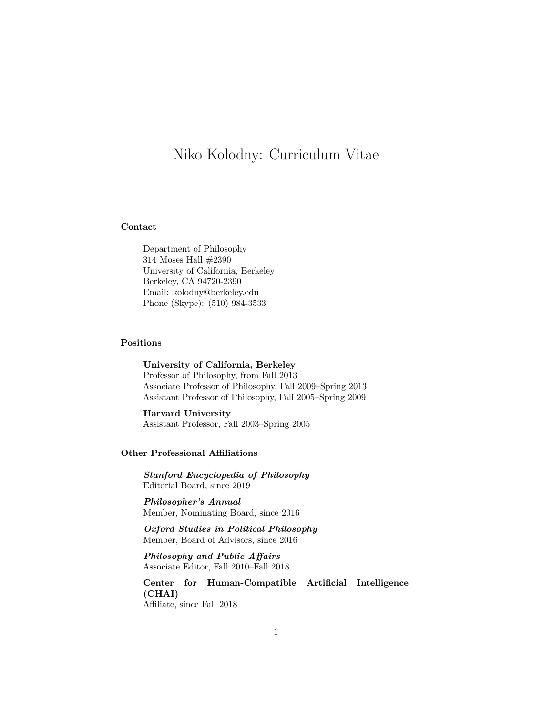# Niko Kolodny: Curriculum Vitae

## **Contact**

Department of Philosophy 314 Moses Hall #2390 University of California, Berkeley Berkeley, CA 94720-2390 Email: kolodny@berkeley.edu Phone (Skype): (510) 984-3533

# **Positions**

**University of California, Berkeley** Professor of Philosophy, from Fall 2013 Associate Professor of Philosophy, Fall 2009–Spring 2013 Assistant Professor of Philosophy, Fall 2005–Spring 2009

**Harvard University** Assistant Professor, Fall 2003–Spring 2005

# **Other Professional Affiliations**

*Stanford Encyclopedia of Philosophy* Editorial Board, since 2019

*Philosopher's Annual* Member, Nominating Board, since 2016

*Oxford Studies in Political Philosophy* Member, Board of Advisors, since 2016

*Philosophy and Public Affairs* Associate Editor, Fall 2010–Fall 2018

**Center for Human-Compatible Artificial Intelligence (CHAI)** Affiliate, since Fall 2018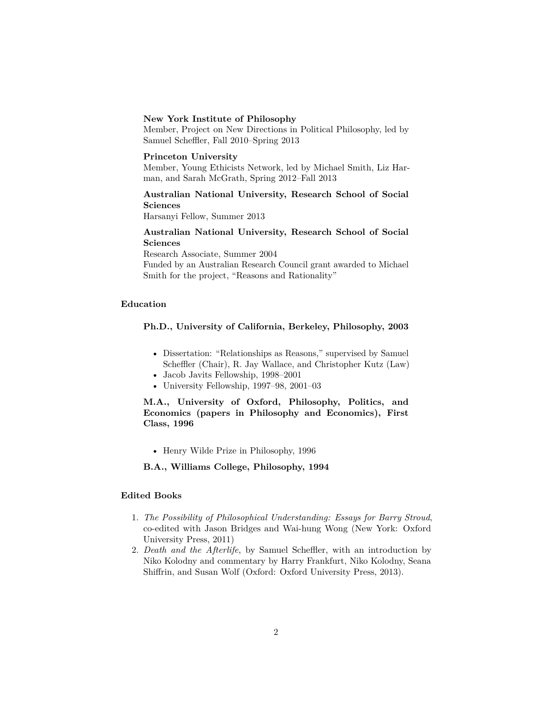#### **New York Institute of Philosophy**

Member, Project on New Directions in Political Philosophy, led by Samuel Scheffler, Fall 2010–Spring 2013

#### **Princeton University**

Member, Young Ethicists Network, led by Michael Smith, Liz Harman, and Sarah McGrath, Spring 2012–Fall 2013

# **Australian National University, Research School of Social Sciences**

Harsanyi Fellow, Summer 2013

# **Australian National University, Research School of Social Sciences**

Research Associate, Summer 2004

Funded by an Australian Research Council grant awarded to Michael Smith for the project, "Reasons and Rationality"

#### **Education**

# **Ph.D., University of California, Berkeley, Philosophy, 2003**

- Dissertation: "Relationships as Reasons," supervised by Samuel Scheffler (Chair), R. Jay Wallace, and Christopher Kutz (Law)
- Jacob Javits Fellowship, 1998–2001
- University Fellowship, 1997–98, 2001–03

**M.A., University of Oxford, Philosophy, Politics, and Economics (papers in Philosophy and Economics), First Class, 1996**

• Henry Wilde Prize in Philosophy, 1996

**B.A., Williams College, Philosophy, 1994**

#### **Edited Books**

- 1. *The Possibility of Philosophical Understanding: Essays for Barry Stroud*, co-edited with Jason Bridges and Wai-hung Wong (New York: Oxford University Press, 2011)
- 2. *Death and the Afterlife*, by Samuel Scheffler, with an introduction by Niko Kolodny and commentary by Harry Frankfurt, Niko Kolodny, Seana Shiffrin, and Susan Wolf (Oxford: Oxford University Press, 2013).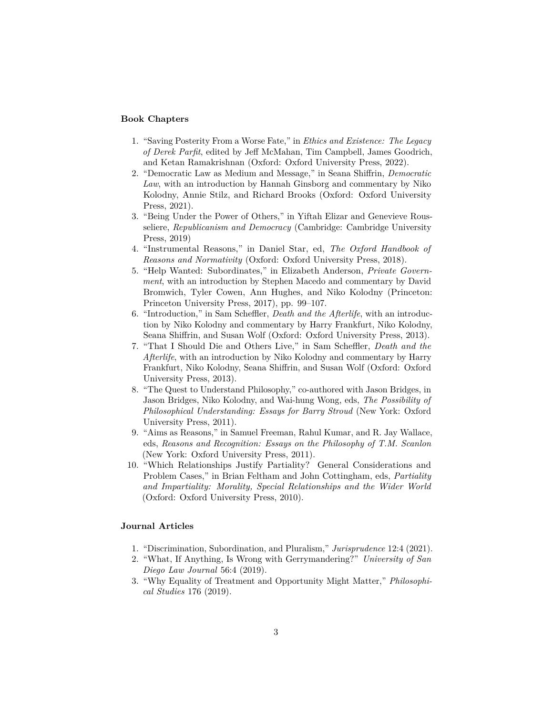## **Book Chapters**

- 1. "Saving Posterity From a Worse Fate," in *Ethics and Existence: The Legacy of Derek Parfit*, edited by Jeff McMahan, Tim Campbell, James Goodrich, and Ketan Ramakrishnan (Oxford: Oxford University Press, 2022).
- 2. "Democratic Law as Medium and Message," in Seana Shiffrin, *Democratic Law*, with an introduction by Hannah Ginsborg and commentary by Niko Kolodny, Annie Stilz, and Richard Brooks (Oxford: Oxford University Press, 2021).
- 3. "Being Under the Power of Others," in Yiftah Elizar and Genevieve Rousseliere, *Republicanism and Democracy* (Cambridge: Cambridge University Press, 2019)
- 4. "Instrumental Reasons," in Daniel Star, ed, *The Oxford Handbook of Reasons and Normativity* (Oxford: Oxford University Press, 2018).
- 5. "Help Wanted: Subordinates," in Elizabeth Anderson, *Private Government*, with an introduction by Stephen Macedo and commentary by David Bromwich, Tyler Cowen, Ann Hughes, and Niko Kolodny (Princeton: Princeton University Press, 2017), pp. 99–107.
- 6. "Introduction," in Sam Scheffler, *Death and the Afterlife*, with an introduction by Niko Kolodny and commentary by Harry Frankfurt, Niko Kolodny, Seana Shiffrin, and Susan Wolf (Oxford: Oxford University Press, 2013).
- 7. "That I Should Die and Others Live," in Sam Scheffler, *Death and the Afterlife*, with an introduction by Niko Kolodny and commentary by Harry Frankfurt, Niko Kolodny, Seana Shiffrin, and Susan Wolf (Oxford: Oxford University Press, 2013).
- 8. "The Quest to Understand Philosophy," co-authored with Jason Bridges, in Jason Bridges, Niko Kolodny, and Wai-hung Wong, eds, *The Possibility of Philosophical Understanding: Essays for Barry Stroud* (New York: Oxford University Press, 2011).
- 9. "Aims as Reasons," in Samuel Freeman, Rahul Kumar, and R. Jay Wallace, eds, *Reasons and Recognition: Essays on the Philosophy of T.M. Scanlon* (New York: Oxford University Press, 2011).
- 10. "Which Relationships Justify Partiality? General Considerations and Problem Cases," in Brian Feltham and John Cottingham, eds, *Partiality and Impartiality: Morality, Special Relationships and the Wider World* (Oxford: Oxford University Press, 2010).

#### **Journal Articles**

- 1. "Discrimination, Subordination, and Pluralism," *Jurisprudence* 12:4 (2021).
- 2. "What, If Anything, Is Wrong with Gerrymandering?" *University of San Diego Law Journal* 56:4 (2019).
- 3. "Why Equality of Treatment and Opportunity Might Matter," *Philosophical Studies* 176 (2019).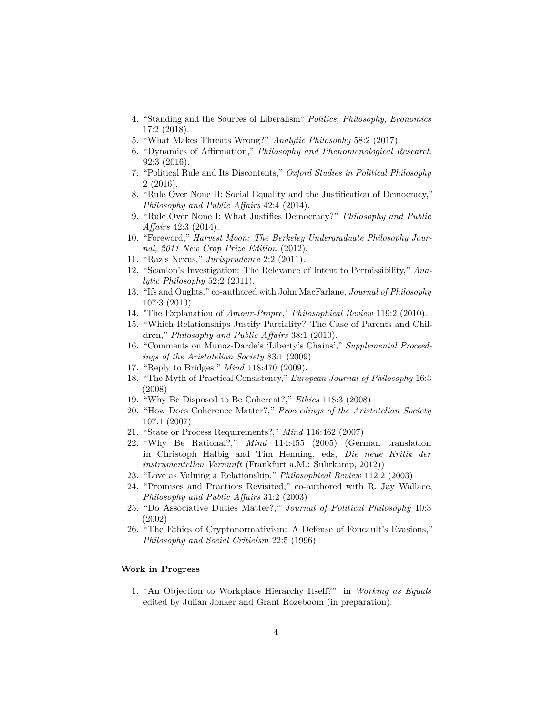- 4. "Standing and the Sources of Liberalism" *Politics, Philosophy, Economics* 17:2 (2018).
- 5. "What Makes Threats Wrong?" *Analytic Philosophy* 58:2 (2017).
- 6. "Dynamics of Affirmation," *Philosophy and Phenomenological Research* 92:3 (2016).
- 7. "Political Rule and Its Discontents," *Oxford Studies in Political Philosophy* 2 (2016).
- 8. "Rule Over None II: Social Equality and the Justification of Democracy," *Philosophy and Public Affairs* 42:4 (2014).
- 9. "Rule Over None I: What Justifies Democracy?" *Philosophy and Public Affairs* 42:3 (2014).
- 10. "Foreword," *Harvest Moon: The Berkeley Undergraduate Philosophy Journal, 2011 New Crop Prize Edition* (2012).
- 11. "Raz's Nexus," *Jurisprudence* 2:2 (2011).
- 12. "Scanlon's Investigation: The Relevance of Intent to Permissibility," *Analytic Philosophy* 52:2 (2011).
- 13. "Ifs and Oughts," co-authored with John MacFarlane, *Journal of Philosophy* 107:3 (2010).
- 14. "The Explanation of *Amour-Propre*," *Philosophical Review* 119:2 (2010).
- 15. "Which Relationships Justify Partiality? The Case of Parents and Children," *Philosophy and Public Affairs* 38:1 (2010).
- 16. "Comments on Munoz-Darde's 'Liberty's Chains'," *Supplemental Proceedings of the Aristotelian Society* 83:1 (2009)
- 17. "Reply to Bridges," *Mind* 118:470 (2009).
- 18. "The Myth of Practical Consistency," *European Journal of Philosophy* 16:3 (2008)
- 19. "Why Be Disposed to Be Coherent?," *Ethics* 118:3 (2008)
- 20. "How Does Coherence Matter?," *Proceedings of the Aristotelian Society* 107:1 (2007)
- 21. "State or Process Requirements?," *Mind* 116:462 (2007)
- 22. "Why Be Rational?," *Mind* 114:455 (2005) (German translation in Christoph Halbig and Tim Henning, eds, *Die neue Kritik der instrumentellen Vernunft* (Frankfurt a.M.: Suhrkamp, 2012))
- 23. "Love as Valuing a Relationship," *Philosophical Review* 112:2 (2003)
- 24. "Promises and Practices Revisited," co-authored with R. Jay Wallace, *Philosophy and Public Affairs* 31:2 (2003)
- 25. "Do Associative Duties Matter?," *Journal of Political Philosophy* 10:3 (2002)
- 26. "The Ethics of Cryptonormativism: A Defense of Foucault's Evasions," *Philosophy and Social Criticism* 22:5 (1996)

#### **Work in Progress**

1. "An Objection to Workplace Hierarchy Itself?" in *Working as Equals* edited by Julian Jonker and Grant Rozeboom (in preparation).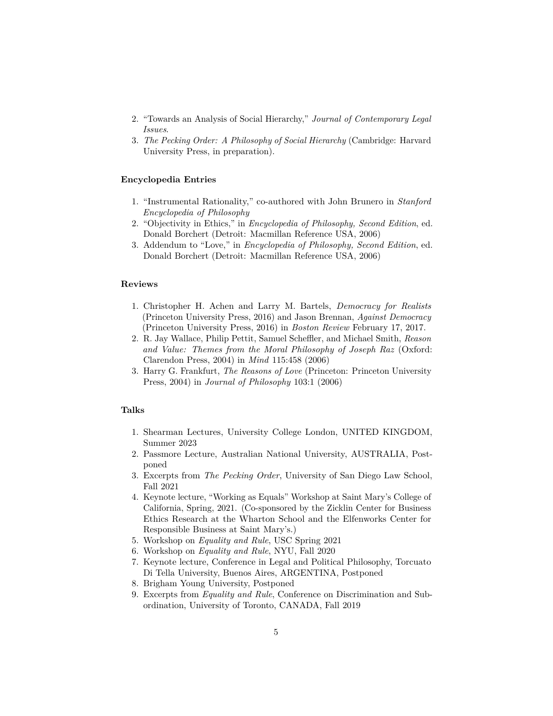- 2. "Towards an Analysis of Social Hierarchy," *Journal of Contemporary Legal Issues*.
- 3. *The Pecking Order: A Philosophy of Social Hierarchy* (Cambridge: Harvard University Press, in preparation).

## **Encyclopedia Entries**

- 1. "Instrumental Rationality," co-authored with John Brunero in *Stanford Encyclopedia of Philosophy*
- 2. "Objectivity in Ethics," in *Encyclopedia of Philosophy, Second Edition*, ed. Donald Borchert (Detroit: Macmillan Reference USA, 2006)
- 3. Addendum to "Love," in *Encyclopedia of Philosophy, Second Edition*, ed. Donald Borchert (Detroit: Macmillan Reference USA, 2006)

## **Reviews**

- 1. Christopher H. Achen and Larry M. Bartels, *Democracy for Realists* (Princeton University Press, 2016) and Jason Brennan, *Against Democracy* (Princeton University Press, 2016) in *Boston Review* February 17, 2017.
- 2. R. Jay Wallace, Philip Pettit, Samuel Scheffler, and Michael Smith, *Reason and Value: Themes from the Moral Philosophy of Joseph Raz* (Oxford: Clarendon Press, 2004) in *Mind* 115:458 (2006)
- 3. Harry G. Frankfurt, *The Reasons of Love* (Princeton: Princeton University Press, 2004) in *Journal of Philosophy* 103:1 (2006)

#### **Talks**

- 1. Shearman Lectures, University College London, UNITED KINGDOM, Summer 2023
- 2. Passmore Lecture, Australian National University, AUSTRALIA, Postponed
- 3. Excerpts from *The Pecking Order*, University of San Diego Law School, Fall 2021
- 4. Keynote lecture, "Working as Equals" Workshop at Saint Mary's College of California, Spring, 2021. (Co-sponsored by the Zicklin Center for Business Ethics Research at the Wharton School and the Elfenworks Center for Responsible Business at Saint Mary's.)
- 5. Workshop on *Equality and Rule*, USC Spring 2021
- 6. Workshop on *Equality and Rule*, NYU, Fall 2020
- 7. Keynote lecture, Conference in Legal and Political Philosophy, Torcuato Di Tella University, Buenos Aires, ARGENTINA, Postponed
- 8. Brigham Young University, Postponed
- 9. Excerpts from *Equality and Rule*, Conference on Discrimination and Subordination, University of Toronto, CANADA, Fall 2019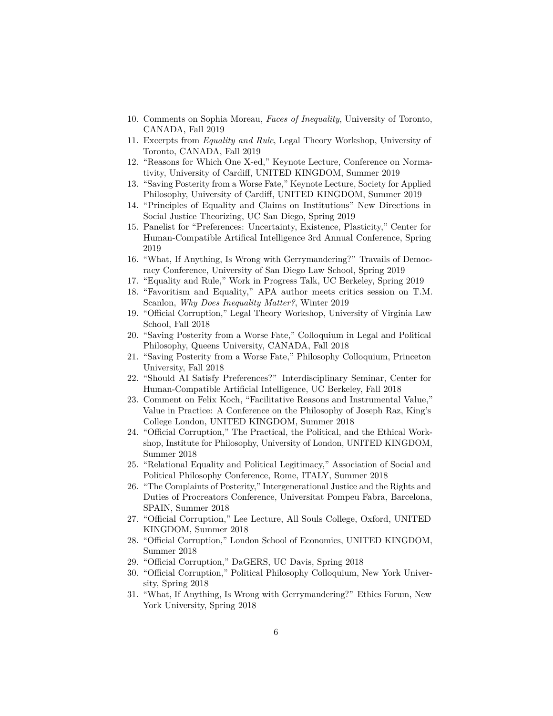- 10. Comments on Sophia Moreau, *Faces of Inequality*, University of Toronto, CANADA, Fall 2019
- 11. Excerpts from *Equality and Rule*, Legal Theory Workshop, University of Toronto, CANADA, Fall 2019
- 12. "Reasons for Which One X-ed," Keynote Lecture, Conference on Normativity, University of Cardiff, UNITED KINGDOM, Summer 2019
- 13. "Saving Posterity from a Worse Fate," Keynote Lecture, Society for Applied Philosophy, University of Cardiff, UNITED KINGDOM, Summer 2019
- 14. "Principles of Equality and Claims on Institutions" New Directions in Social Justice Theorizing, UC San Diego, Spring 2019
- 15. Panelist for "Preferences: Uncertainty, Existence, Plasticity," Center for Human-Compatible Artifical Intelligence 3rd Annual Conference, Spring 2019
- 16. "What, If Anything, Is Wrong with Gerrymandering?" Travails of Democracy Conference, University of San Diego Law School, Spring 2019
- 17. "Equality and Rule," Work in Progress Talk, UC Berkeley, Spring 2019
- 18. "Favoritism and Equality," APA author meets critics session on T.M. Scanlon, *Why Does Inequality Matter?*, Winter 2019
- 19. "Official Corruption," Legal Theory Workshop, University of Virginia Law School, Fall 2018
- 20. "Saving Posterity from a Worse Fate," Colloquium in Legal and Political Philosophy, Queens University, CANADA, Fall 2018
- 21. "Saving Posterity from a Worse Fate," Philosophy Colloquium, Princeton University, Fall 2018
- 22. "Should AI Satisfy Preferences?" Interdisciplinary Seminar, Center for Human-Compatible Artificial Intelligence, UC Berkeley, Fall 2018
- 23. Comment on Felix Koch, "Facilitative Reasons and Instrumental Value," Value in Practice: A Conference on the Philosophy of Joseph Raz, King's College London, UNITED KINGDOM, Summer 2018
- 24. "Official Corruption," The Practical, the Political, and the Ethical Workshop, Institute for Philosophy, University of London, UNITED KINGDOM, Summer 2018
- 25. "Relational Equality and Political Legitimacy," Association of Social and Political Philosophy Conference, Rome, ITALY, Summer 2018
- 26. "The Complaints of Posterity," Intergenerational Justice and the Rights and Duties of Procreators Conference, Universitat Pompeu Fabra, Barcelona, SPAIN, Summer 2018
- 27. "Official Corruption," Lee Lecture, All Souls College, Oxford, UNITED KINGDOM, Summer 2018
- 28. "Official Corruption," London School of Economics, UNITED KINGDOM, Summer 2018
- 29. "Official Corruption," DaGERS, UC Davis, Spring 2018
- 30. "Official Corruption," Political Philosophy Colloquium, New York University, Spring 2018
- 31. "What, If Anything, Is Wrong with Gerrymandering?" Ethics Forum, New York University, Spring 2018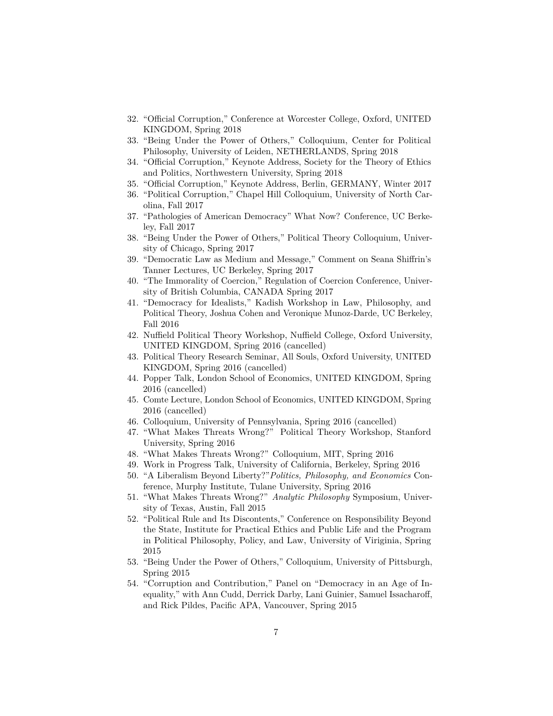- 32. "Official Corruption," Conference at Worcester College, Oxford, UNITED KINGDOM, Spring 2018
- 33. "Being Under the Power of Others," Colloquium, Center for Political Philosophy, University of Leiden, NETHERLANDS, Spring 2018
- 34. "Official Corruption," Keynote Address, Society for the Theory of Ethics and Politics, Northwestern University, Spring 2018
- 35. "Official Corruption," Keynote Address, Berlin, GERMANY, Winter 2017
- 36. "Political Corruption," Chapel Hill Colloquium, University of North Carolina, Fall 2017
- 37. "Pathologies of American Democracy" What Now? Conference, UC Berkeley, Fall 2017
- 38. "Being Under the Power of Others," Political Theory Colloquium, University of Chicago, Spring 2017
- 39. "Democratic Law as Medium and Message," Comment on Seana Shiffrin's Tanner Lectures, UC Berkeley, Spring 2017
- 40. "The Immorality of Coercion," Regulation of Coercion Conference, University of British Columbia, CANADA Spring 2017
- 41. "Democracy for Idealists," Kadish Workshop in Law, Philosophy, and Political Theory, Joshua Cohen and Veronique Munoz-Darde, UC Berkeley, Fall 2016
- 42. Nuffield Political Theory Workshop, Nuffield College, Oxford University, UNITED KINGDOM, Spring 2016 (cancelled)
- 43. Political Theory Research Seminar, All Souls, Oxford University, UNITED KINGDOM, Spring 2016 (cancelled)
- 44. Popper Talk, London School of Economics, UNITED KINGDOM, Spring 2016 (cancelled)
- 45. Comte Lecture, London School of Economics, UNITED KINGDOM, Spring 2016 (cancelled)
- 46. Colloquium, University of Pennsylvania, Spring 2016 (cancelled)
- 47. "What Makes Threats Wrong?" Political Theory Workshop, Stanford University, Spring 2016
- 48. "What Makes Threats Wrong?" Colloquium, MIT, Spring 2016
- 49. Work in Progress Talk, University of California, Berkeley, Spring 2016
- 50. "A Liberalism Beyond Liberty?"*Politics, Philosophy, and Economics* Conference, Murphy Institute, Tulane University, Spring 2016
- 51. "What Makes Threats Wrong?" *Analytic Philosophy* Symposium, University of Texas, Austin, Fall 2015
- 52. "Political Rule and Its Discontents," Conference on Responsibility Beyond the State, Institute for Practical Ethics and Public Life and the Program in Political Philosophy, Policy, and Law, University of Viriginia, Spring 2015
- 53. "Being Under the Power of Others," Colloquium, University of Pittsburgh, Spring 2015
- 54. "Corruption and Contribution," Panel on "Democracy in an Age of Inequality," with Ann Cudd, Derrick Darby, Lani Guinier, Samuel Issacharoff, and Rick Pildes, Pacific APA, Vancouver, Spring 2015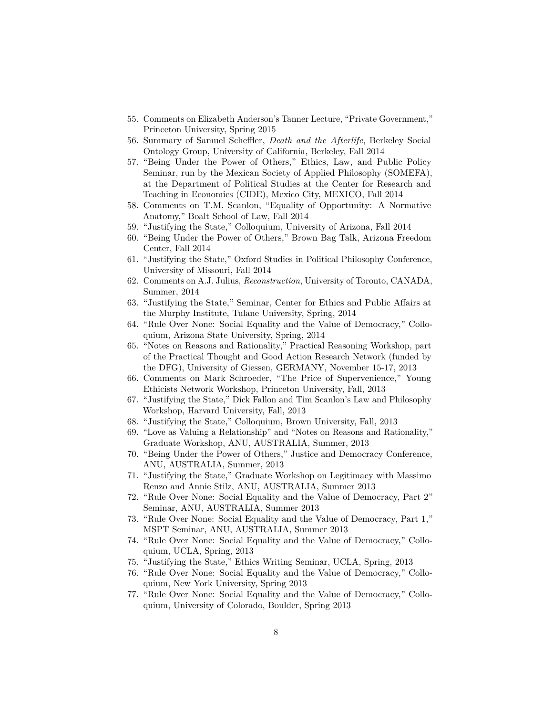- 55. Comments on Elizabeth Anderson's Tanner Lecture, "Private Government," Princeton University, Spring 2015
- 56. Summary of Samuel Scheffler, *Death and the Afterlife*, Berkeley Social Ontology Group, University of California, Berkeley, Fall 2014
- 57. "Being Under the Power of Others," Ethics, Law, and Public Policy Seminar, run by the Mexican Society of Applied Philosophy (SOMEFA), at the Department of Political Studies at the Center for Research and Teaching in Economics (CIDE), Mexico City, MEXICO, Fall 2014
- 58. Comments on T.M. Scanlon, "Equality of Opportunity: A Normative Anatomy," Boalt School of Law, Fall 2014
- 59. "Justifying the State," Colloquium, University of Arizona, Fall 2014
- 60. "Being Under the Power of Others," Brown Bag Talk, Arizona Freedom Center, Fall 2014
- 61. "Justifying the State," Oxford Studies in Political Philosophy Conference, University of Missouri, Fall 2014
- 62. Comments on A.J. Julius, *Reconstruction*, University of Toronto, CANADA, Summer, 2014
- 63. "Justifying the State," Seminar, Center for Ethics and Public Affairs at the Murphy Institute, Tulane University, Spring, 2014
- 64. "Rule Over None: Social Equality and the Value of Democracy," Colloquium, Arizona State University, Spring, 2014
- 65. "Notes on Reasons and Rationality," Practical Reasoning Workshop, part of the Practical Thought and Good Action Research Network (funded by the DFG), University of Giessen, GERMANY, November 15-17, 2013
- 66. Comments on Mark Schroeder, "The Price of Supervenience," Young Ethicists Network Workshop, Princeton University, Fall, 2013
- 67. "Justifying the State," Dick Fallon and Tim Scanlon's Law and Philosophy Workshop, Harvard University, Fall, 2013
- 68. "Justifying the State," Colloquium, Brown University, Fall, 2013
- 69. "Love as Valuing a Relationship" and "Notes on Reasons and Rationality," Graduate Workshop, ANU, AUSTRALIA, Summer, 2013
- 70. "Being Under the Power of Others," Justice and Democracy Conference, ANU, AUSTRALIA, Summer, 2013
- 71. "Justifying the State," Graduate Workshop on Legitimacy with Massimo Renzo and Annie Stilz, ANU, AUSTRALIA, Summer 2013
- 72. "Rule Over None: Social Equality and the Value of Democracy, Part 2" Seminar, ANU, AUSTRALIA, Summer 2013
- 73. "Rule Over None: Social Equality and the Value of Democracy, Part 1," MSPT Seminar, ANU, AUSTRALIA, Summer 2013
- 74. "Rule Over None: Social Equality and the Value of Democracy," Colloquium, UCLA, Spring, 2013
- 75. "Justifying the State," Ethics Writing Seminar, UCLA, Spring, 2013
- 76. "Rule Over None: Social Equality and the Value of Democracy," Colloquium, New York University, Spring 2013
- 77. "Rule Over None: Social Equality and the Value of Democracy," Colloquium, University of Colorado, Boulder, Spring 2013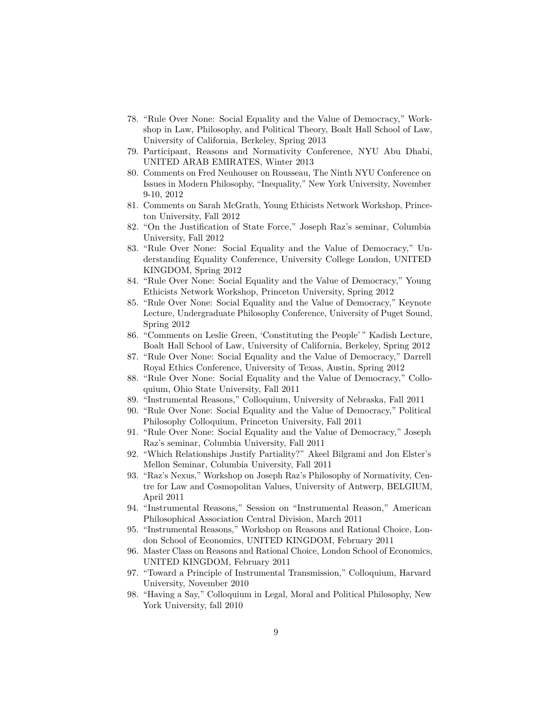- 78. "Rule Over None: Social Equality and the Value of Democracy," Workshop in Law, Philosophy, and Political Theory, Boalt Hall School of Law, University of California, Berkeley, Spring 2013
- 79. Participant, Reasons and Normativity Conference, NYU Abu Dhabi, UNITED ARAB EMIRATES, Winter 2013
- 80. Comments on Fred Neuhouser on Rousseau, The Ninth NYU Conference on Issues in Modern Philosophy, "Inequality," New York University, November 9-10, 2012
- 81. Comments on Sarah McGrath, Young Ethicists Network Workshop, Princeton University, Fall 2012
- 82. "On the Justification of State Force," Joseph Raz's seminar, Columbia University, Fall 2012
- 83. "Rule Over None: Social Equality and the Value of Democracy," Understanding Equality Conference, University College London, UNITED KINGDOM, Spring 2012
- 84. "Rule Over None: Social Equality and the Value of Democracy," Young Ethicists Network Workshop, Princeton University, Spring 2012
- 85. "Rule Over None: Social Equality and the Value of Democracy," Keynote Lecture, Undergraduate Philosophy Conference, University of Puget Sound, Spring 2012
- 86. "Comments on Leslie Green, 'Constituting the People' " Kadish Lecture, Boalt Hall School of Law, University of California, Berkeley, Spring 2012
- 87. "Rule Over None: Social Equality and the Value of Democracy," Darrell Royal Ethics Conference, University of Texas, Austin, Spring 2012
- 88. "Rule Over None: Social Equality and the Value of Democracy," Colloquium, Ohio State University, Fall 2011
- 89. "Instrumental Reasons," Colloquium, University of Nebraska, Fall 2011
- 90. "Rule Over None: Social Equality and the Value of Democracy," Political Philosophy Colloquium, Princeton University, Fall 2011
- 91. "Rule Over None: Social Equality and the Value of Democracy," Joseph Raz's seminar, Columbia University, Fall 2011
- 92. "Which Relationships Justify Partiality?" Akeel Bilgrami and Jon Elster's Mellon Seminar, Columbia University, Fall 2011
- 93. "Raz's Nexus," Workshop on Joseph Raz's Philosophy of Normativity, Centre for Law and Cosmopolitan Values, University of Antwerp, BELGIUM, April 2011
- 94. "Instrumental Reasons," Session on "Instrumental Reason," American Philosophical Association Central Division, March 2011
- 95. "Instrumental Reasons," Workshop on Reasons and Rational Choice, London School of Economics, UNITED KINGDOM, February 2011
- 96. Master Class on Reasons and Rational Choice, London School of Economics, UNITED KINGDOM, February 2011
- 97. "Toward a Principle of Instrumental Transmission," Colloquium, Harvard University, November 2010
- 98. "Having a Say," Colloquium in Legal, Moral and Political Philosophy, New York University, fall 2010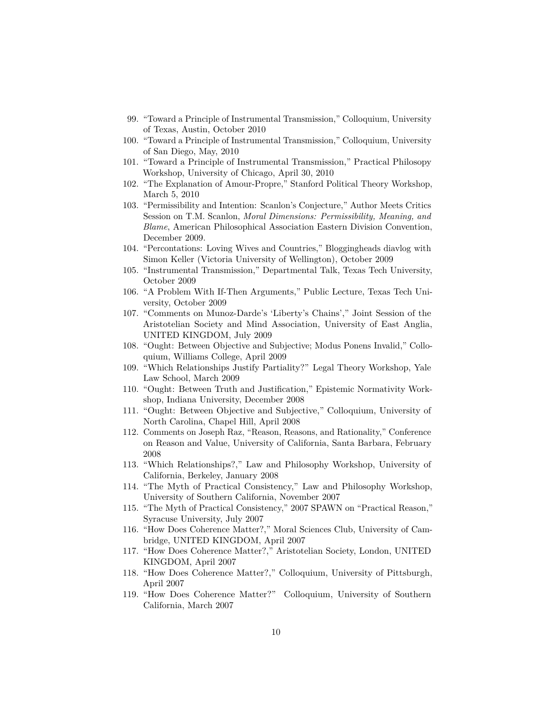- 99. "Toward a Principle of Instrumental Transmission," Colloquium, University of Texas, Austin, October 2010
- 100. "Toward a Principle of Instrumental Transmission," Colloquium, University of San Diego, May, 2010
- 101. "Toward a Principle of Instrumental Transmission," Practical Philosopy Workshop, University of Chicago, April 30, 2010
- 102. "The Explanation of Amour-Propre," Stanford Political Theory Workshop, March 5, 2010
- 103. "Permissibility and Intention: Scanlon's Conjecture," Author Meets Critics Session on T.M. Scanlon, *Moral Dimensions: Permissibility, Meaning, and Blame*, American Philosophical Association Eastern Division Convention, December 2009.
- 104. "Percontations: Loving Wives and Countries," Bloggingheads diavlog with Simon Keller (Victoria University of Wellington), October 2009
- 105. "Instrumental Transmission," Departmental Talk, Texas Tech University, October 2009
- 106. "A Problem With If-Then Arguments," Public Lecture, Texas Tech University, October 2009
- 107. "Comments on Munoz-Darde's 'Liberty's Chains'," Joint Session of the Aristotelian Society and Mind Association, University of East Anglia, UNITED KINGDOM, July 2009
- 108. "Ought: Between Objective and Subjective; Modus Ponens Invalid," Colloquium, Williams College, April 2009
- 109. "Which Relationships Justify Partiality?" Legal Theory Workshop, Yale Law School, March 2009
- 110. "Ought: Between Truth and Justification," Epistemic Normativity Workshop, Indiana University, December 2008
- 111. "Ought: Between Objective and Subjective," Colloquium, University of North Carolina, Chapel Hill, April 2008
- 112. Comments on Joseph Raz, "Reason, Reasons, and Rationality," Conference on Reason and Value, University of California, Santa Barbara, February 2008
- 113. "Which Relationships?," Law and Philosophy Workshop, University of California, Berkeley, January 2008
- 114. "The Myth of Practical Consistency," Law and Philosophy Workshop, University of Southern California, November 2007
- 115. "The Myth of Practical Consistency," 2007 SPAWN on "Practical Reason," Syracuse University, July 2007
- 116. "How Does Coherence Matter?," Moral Sciences Club, University of Cambridge, UNITED KINGDOM, April 2007
- 117. "How Does Coherence Matter?," Aristotelian Society, London, UNITED KINGDOM, April 2007
- 118. "How Does Coherence Matter?," Colloquium, University of Pittsburgh, April 2007
- 119. "How Does Coherence Matter?" Colloquium, University of Southern California, March 2007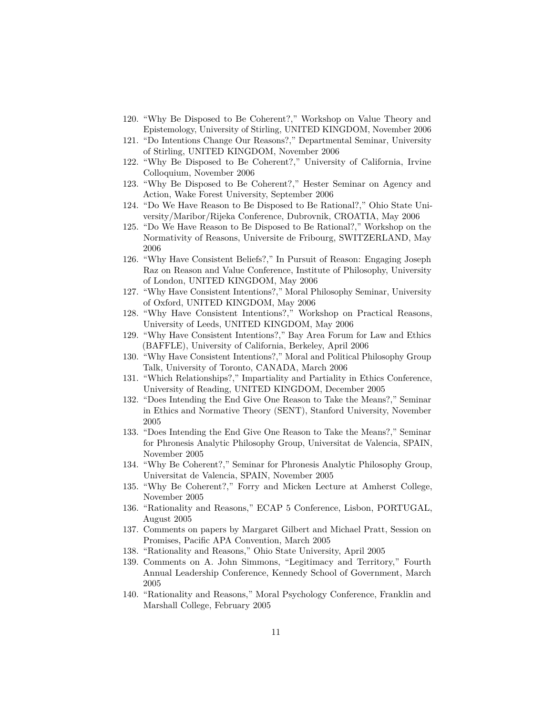- 120. "Why Be Disposed to Be Coherent?," Workshop on Value Theory and Epistemology, University of Stirling, UNITED KINGDOM, November 2006
- 121. "Do Intentions Change Our Reasons?," Departmental Seminar, University of Stirling, UNITED KINGDOM, November 2006
- 122. "Why Be Disposed to Be Coherent?," University of California, Irvine Colloquium, November 2006
- 123. "Why Be Disposed to Be Coherent?," Hester Seminar on Agency and Action, Wake Forest University, September 2006
- 124. "Do We Have Reason to Be Disposed to Be Rational?," Ohio State University/Maribor/Rijeka Conference, Dubrovnik, CROATIA, May 2006
- 125. "Do We Have Reason to Be Disposed to Be Rational?," Workshop on the Normativity of Reasons, Universite de Fribourg, SWITZERLAND, May 2006
- 126. "Why Have Consistent Beliefs?," In Pursuit of Reason: Engaging Joseph Raz on Reason and Value Conference, Institute of Philosophy, University of London, UNITED KINGDOM, May 2006
- 127. "Why Have Consistent Intentions?," Moral Philosophy Seminar, University of Oxford, UNITED KINGDOM, May 2006
- 128. "Why Have Consistent Intentions?," Workshop on Practical Reasons, University of Leeds, UNITED KINGDOM, May 2006
- 129. "Why Have Consistent Intentions?," Bay Area Forum for Law and Ethics (BAFFLE), University of California, Berkeley, April 2006
- 130. "Why Have Consistent Intentions?," Moral and Political Philosophy Group Talk, University of Toronto, CANADA, March 2006
- 131. "Which Relationships?," Impartiality and Partiality in Ethics Conference, University of Reading, UNITED KINGDOM, December 2005
- 132. "Does Intending the End Give One Reason to Take the Means?," Seminar in Ethics and Normative Theory (SENT), Stanford University, November 2005
- 133. "Does Intending the End Give One Reason to Take the Means?," Seminar for Phronesis Analytic Philosophy Group, Universitat de Valencia, SPAIN, November 2005
- 134. "Why Be Coherent?," Seminar for Phronesis Analytic Philosophy Group, Universitat de Valencia, SPAIN, November 2005
- 135. "Why Be Coherent?," Forry and Micken Lecture at Amherst College, November 2005
- 136. "Rationality and Reasons," ECAP 5 Conference, Lisbon, PORTUGAL, August 2005
- 137. Comments on papers by Margaret Gilbert and Michael Pratt, Session on Promises, Pacific APA Convention, March 2005
- 138. "Rationality and Reasons," Ohio State University, April 2005
- 139. Comments on A. John Simmons, "Legitimacy and Territory," Fourth Annual Leadership Conference, Kennedy School of Government, March 2005
- 140. "Rationality and Reasons," Moral Psychology Conference, Franklin and Marshall College, February 2005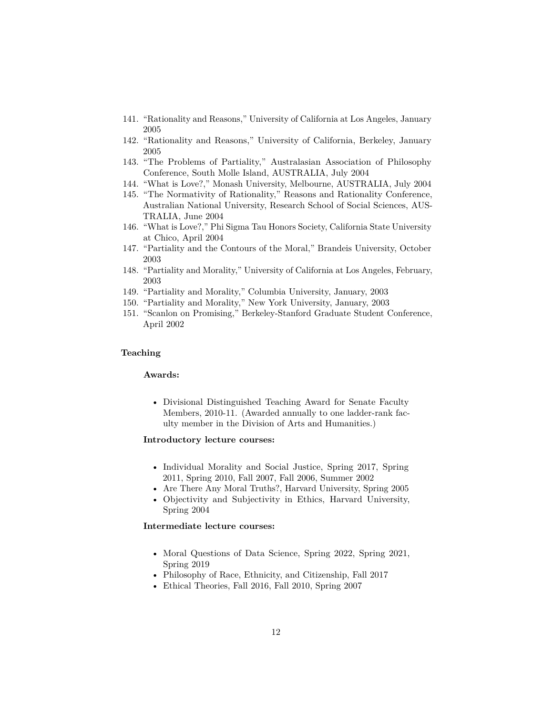- 141. "Rationality and Reasons," University of California at Los Angeles, January 2005
- 142. "Rationality and Reasons," University of California, Berkeley, January 2005
- 143. "The Problems of Partiality," Australasian Association of Philosophy Conference, South Molle Island, AUSTRALIA, July 2004
- 144. "What is Love?," Monash University, Melbourne, AUSTRALIA, July 2004
- 145. "The Normativity of Rationality," Reasons and Rationality Conference, Australian National University, Research School of Social Sciences, AUS-TRALIA, June 2004
- 146. "What is Love?," Phi Sigma Tau Honors Society, California State University at Chico, April 2004
- 147. "Partiality and the Contours of the Moral," Brandeis University, October 2003
- 148. "Partiality and Morality," University of California at Los Angeles, February, 2003
- 149. "Partiality and Morality," Columbia University, January, 2003
- 150. "Partiality and Morality," New York University, January, 2003
- 151. "Scanlon on Promising," Berkeley-Stanford Graduate Student Conference, April 2002

#### **Teaching**

#### **Awards:**

• Divisional Distinguished Teaching Award for Senate Faculty Members, 2010-11. (Awarded annually to one ladder-rank faculty member in the Division of Arts and Humanities.)

## **Introductory lecture courses:**

- Individual Morality and Social Justice, Spring 2017, Spring 2011, Spring 2010, Fall 2007, Fall 2006, Summer 2002
- Are There Any Moral Truths?, Harvard University, Spring 2005
- Objectivity and Subjectivity in Ethics, Harvard University, Spring 2004

## **Intermediate lecture courses:**

- Moral Questions of Data Science, Spring 2022, Spring 2021, Spring 2019
- Philosophy of Race, Ethnicity, and Citizenship, Fall 2017
- Ethical Theories, Fall 2016, Fall 2010, Spring 2007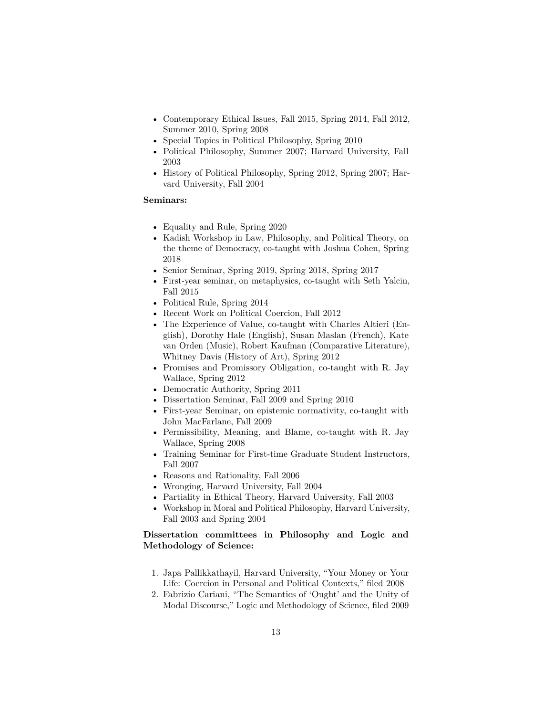- Contemporary Ethical Issues, Fall 2015, Spring 2014, Fall 2012, Summer 2010, Spring 2008
- Special Topics in Political Philosophy, Spring 2010
- Political Philosophy, Summer 2007; Harvard University, Fall 2003
- History of Political Philosophy, Spring 2012, Spring 2007; Harvard University, Fall 2004

#### **Seminars:**

- Equality and Rule, Spring 2020
- Kadish Workshop in Law, Philosophy, and Political Theory, on the theme of Democracy, co-taught with Joshua Cohen, Spring 2018
- Senior Seminar, Spring 2019, Spring 2018, Spring 2017
- First-year seminar, on metaphysics, co-taught with Seth Yalcin, Fall 2015
- Political Rule, Spring 2014
- Recent Work on Political Coercion, Fall 2012
- The Experience of Value, co-taught with Charles Altieri (English), Dorothy Hale (English), Susan Maslan (French), Kate van Orden (Music), Robert Kaufman (Comparative Literature), Whitney Davis (History of Art), Spring 2012
- Promises and Promissory Obligation, co-taught with R. Jay Wallace, Spring 2012
- Democratic Authority, Spring 2011
- Dissertation Seminar, Fall 2009 and Spring 2010
- First-year Seminar, on epistemic normativity, co-taught with John MacFarlane, Fall 2009
- Permissibility, Meaning, and Blame, co-taught with R. Jay Wallace, Spring 2008
- Training Seminar for First-time Graduate Student Instructors, Fall 2007
- Reasons and Rationality, Fall 2006
- Wronging, Harvard University, Fall 2004
- Partiality in Ethical Theory, Harvard University, Fall 2003
- Workshop in Moral and Political Philosophy, Harvard University, Fall 2003 and Spring 2004

# **Dissertation committees in Philosophy and Logic and Methodology of Science:**

- 1. Japa Pallikkathayil, Harvard University, "Your Money or Your Life: Coercion in Personal and Political Contexts," filed 2008
- 2. Fabrizio Cariani, "The Semantics of 'Ought' and the Unity of Modal Discourse," Logic and Methodology of Science, filed 2009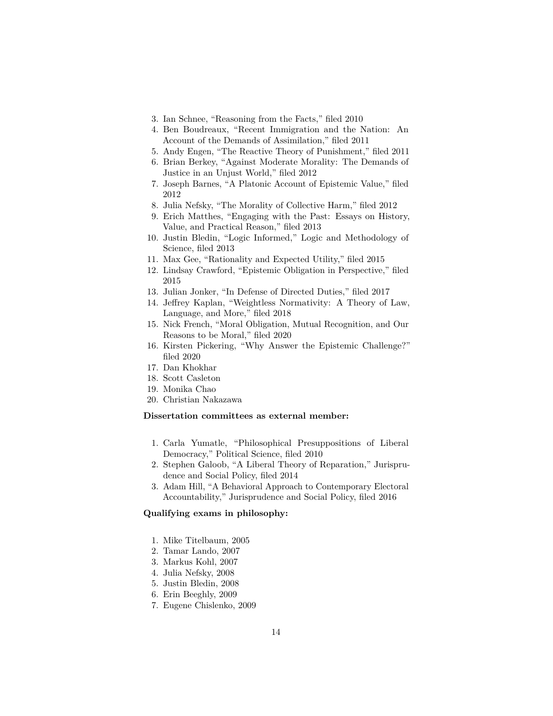- 3. Ian Schnee, "Reasoning from the Facts," filed 2010
- 4. Ben Boudreaux, "Recent Immigration and the Nation: An Account of the Demands of Assimilation," filed 2011
- 5. Andy Engen, "The Reactive Theory of Punishment," filed 2011
- 6. Brian Berkey, "Against Moderate Morality: The Demands of Justice in an Unjust World," filed 2012
- 7. Joseph Barnes, "A Platonic Account of Epistemic Value," filed 2012
- 8. Julia Nefsky, "The Morality of Collective Harm," filed 2012
- 9. Erich Matthes, "Engaging with the Past: Essays on History, Value, and Practical Reason," filed 2013
- 10. Justin Bledin, "Logic Informed," Logic and Methodology of Science, filed 2013
- 11. Max Gee, "Rationality and Expected Utility," filed 2015
- 12. Lindsay Crawford, "Epistemic Obligation in Perspective," filed 2015
- 13. Julian Jonker, "In Defense of Directed Duties," filed 2017
- 14. Jeffrey Kaplan, "Weightless Normativity: A Theory of Law, Language, and More," filed 2018
- 15. Nick French, "Moral Obligation, Mutual Recognition, and Our Reasons to be Moral," filed 2020
- 16. Kirsten Pickering, "Why Answer the Epistemic Challenge?" filed 2020
- 17. Dan Khokhar
- 18. Scott Casleton
- 19. Monika Chao
- 20. Christian Nakazawa

# **Dissertation committees as external member:**

- 1. Carla Yumatle, "Philosophical Presuppositions of Liberal Democracy," Political Science, filed 2010
- 2. Stephen Galoob, "A Liberal Theory of Reparation," Jurisprudence and Social Policy, filed 2014
- 3. Adam Hill, "A Behavioral Approach to Contemporary Electoral Accountability," Jurisprudence and Social Policy, filed 2016

# **Qualifying exams in philosophy:**

- 1. Mike Titelbaum, 2005
- 2. Tamar Lando, 2007
- 3. Markus Kohl, 2007
- 4. Julia Nefsky, 2008
- 5. Justin Bledin, 2008
- 6. Erin Beeghly, 2009
- 7. Eugene Chislenko, 2009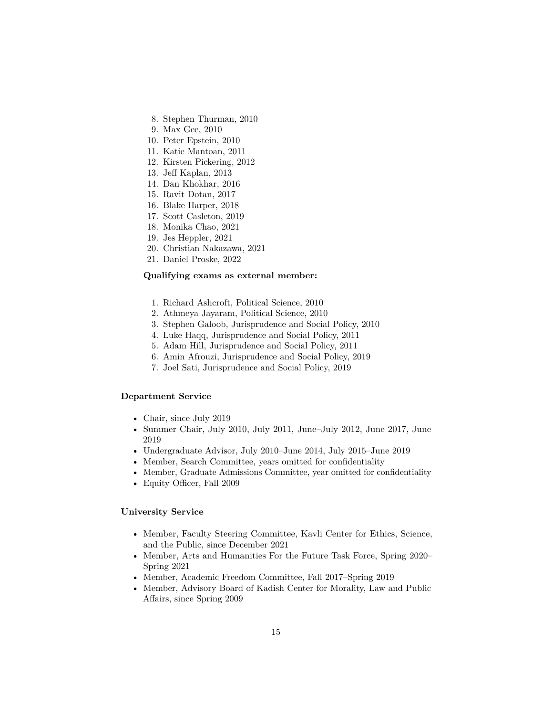- 8. Stephen Thurman, 2010
- 9. Max Gee, 2010
- 10. Peter Epstein, 2010
- 11. Katie Mantoan, 2011
- 12. Kirsten Pickering, 2012
- 13. Jeff Kaplan, 2013
- 14. Dan Khokhar, 2016
- 15. Ravit Dotan, 2017
- 16. Blake Harper, 2018
- 17. Scott Casleton, 2019
- 18. Monika Chao, 2021
- 19. Jes Heppler, 2021
- 20. Christian Nakazawa, 2021
- 21. Daniel Proske, 2022

#### **Qualifying exams as external member:**

- 1. Richard Ashcroft, Political Science, 2010
- 2. Athmeya Jayaram, Political Science, 2010
- 3. Stephen Galoob, Jurisprudence and Social Policy, 2010
- 4. Luke Haqq, Jurisprudence and Social Policy, 2011
- 5. Adam Hill, Jurisprudence and Social Policy, 2011
- 6. Amin Afrouzi, Jurisprudence and Social Policy, 2019
- 7. Joel Sati, Jurisprudence and Social Policy, 2019

## **Department Service**

- Chair, since July 2019
- Summer Chair, July 2010, July 2011, June–July 2012, June 2017, June 2019
- Undergraduate Advisor, July 2010–June 2014, July 2015–June 2019
- Member, Search Committee, years omitted for confidentiality
- Member, Graduate Admissions Committee, year omitted for confidentiality
- Equity Officer, Fall 2009

# **University Service**

- Member, Faculty Steering Committee, Kavli Center for Ethics, Science, and the Public, since December 2021
- Member, Arts and Humanities For the Future Task Force, Spring 2020– Spring 2021
- Member, Academic Freedom Committee, Fall 2017–Spring 2019
- Member, Advisory Board of Kadish Center for Morality, Law and Public Affairs, since Spring 2009